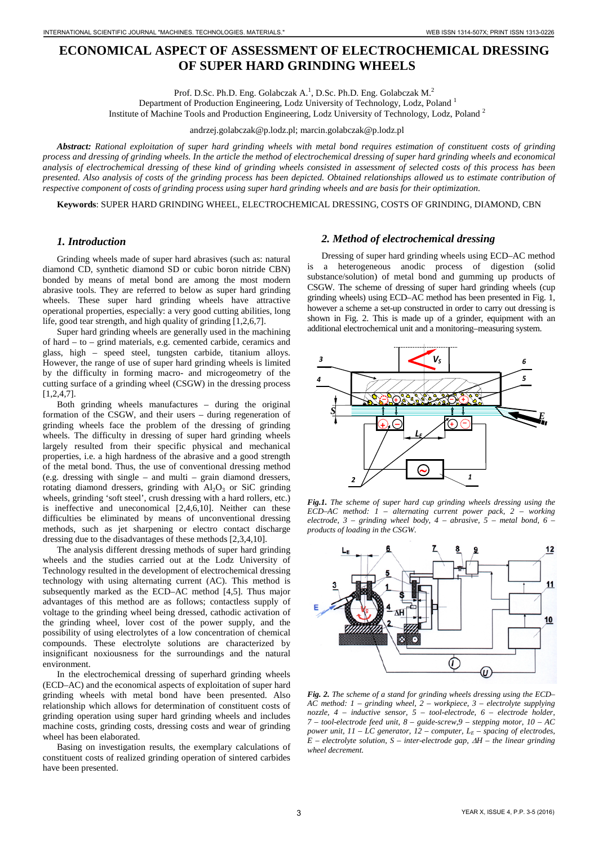# **ECONOMICAL ASPECT OF ASSESSMENT OF ELECTROCHEMICAL DRESSING OF SUPER HARD GRINDING WHEELS**

Prof. D.Sc. Ph.D. Eng. Golabczak A. $^1$ , D.Sc. Ph.D. Eng. Golabczak M. $^2$ Department of Production Engineering, Lodz University of Technology, Lodz, Poland <sup>1</sup> Institute of Machine Tools and Production Engineering, Lodz University of Technology, Lodz, Poland <sup>2</sup>

[andrzej.golabczak@p.lodz.pl;](mailto:andrzej.golabczak@p.lodz.pl) marcin.golabczak@p.lodz.pl

*Abstract: Rational exploitation of super hard grinding wheels with metal bond requires estimation of constituent costs of grinding process and dressing of grinding wheels. In the article the method of electrochemical dressing of super hard grinding wheels and economical analysis of electrochemical dressing of these kind of grinding wheels consisted in assessment of selected costs of this process has been presented. Also analysis of costs of the grinding process has been depicted. Obtained relationships allowed us to estimate contribution of respective component of costs of grinding process using super hard grinding wheels and are basis for their optimization.*

**Keywords**: SUPER HARD GRINDING WHEEL, ELECTROCHEMICAL DRESSING, COSTS OF GRINDING, DIAMOND, CBN

## *1. Introduction*

Grinding wheels made of super hard abrasives (such as: natural diamond CD, synthetic diamond SD or cubic boron nitride CBN) bonded by means of metal bond are among the most modern abrasive tools. They are referred to below as super hard grinding wheels. These super hard grinding wheels have attractive operational properties, especially: a very good cutting abilities, long life, good tear strength, and high quality of grinding [1,2,6,7].

Super hard grinding wheels are generally used in the machining of hard – to – grind materials, e.g. cemented carbide, ceramics and glass, high – speed steel, tungsten carbide, titanium alloys. However, the range of use of super hard grinding wheels is limited by the difficulty in forming macro- and microgeometry of the cutting surface of a grinding wheel (CSGW) in the dressing process [1,2,4,7].

Both grinding wheels manufactures – during the original formation of the CSGW, and their users – during regeneration of grinding wheels face the problem of the dressing of grinding wheels. The difficulty in dressing of super hard grinding wheels largely resulted from their specific physical and mechanical properties, i.e. a high hardness of the abrasive and a good strength of the metal bond. Thus, the use of conventional dressing method (e.g. dressing with single – and multi – grain diamond dressers, rotating diamond dressers, grinding with  $Al_2O_3$  or SiC grinding wheels, grinding 'soft steel', crush dressing with a hard rollers, etc.) is ineffective and uneconomical [2,4,6,10]. Neither can these difficulties be eliminated by means of unconventional dressing methods, such as jet sharpening or electro contact discharge dressing due to the disadvantages of these methods [2,3,4,10].

The analysis different dressing methods of super hard grinding wheels and the studies carried out at the Lodz University of Technology resulted in the development of electrochemical dressing technology with using alternating current (AC). This method is subsequently marked as the ECD–AC method [4,5]. Thus major advantages of this method are as follows; contactless supply of voltage to the grinding wheel being dressed, cathodic activation of the grinding wheel, lover cost of the power supply, and the possibility of using electrolytes of a low concentration of chemical compounds. These electrolyte solutions are characterized by insignificant noxiousness for the surroundings and the natural environment.

In the electrochemical dressing of superhard grinding wheels (ECD–AC) and the economical aspects of exploitation of super hard grinding wheels with metal bond have been presented. Also relationship which allows for determination of constituent costs of grinding operation using super hard grinding wheels and includes machine costs, grinding costs, dressing costs and wear of grinding wheel has been elaborated.

Basing on investigation results, the exemplary calculations of constituent costs of realized grinding operation of sintered carbides have been presented.

## *2. Method of electrochemical dressing*

Dressing of super hard grinding wheels using ECD–AC method is a heterogeneous anodic process of digestion (solid substance/solution) of metal bond and gumming up products of CSGW. The scheme of dressing of super hard grinding wheels (cup grinding wheels) using ECD–AC method has been presented in Fig. 1, however a scheme a set-up constructed in order to carry out dressing is shown in Fig. 2. This is made up of a grinder, equipment with an additional electrochemical unit and a monitoring–measuring system.



*Fig.1. The scheme of super hard cup grinding wheels dressing using the ECD–AC method: 1 – alternating current power pack, 2 – working electrode, 3 – grinding wheel body, 4 – abrasive, 5 – metal bond, 6 – products of loading in the CSGW.* 



*Fig. 2. The scheme of a stand for grinding wheels dressing using the ECD– AC method: 1 – grinding wheel, 2 – workpiece, 3 – electrolyte supplying nozzle, 4 – inductive sensor, 5 – tool-electrode, 6 – electrode holder, 7 – tool-electrode feed unit, 8 – guide-screw,9 – stepping motor, 10 – AC power unit,*  $11 - LC$  *generator,*  $12 - computer$ *,*  $L_E - spacing$  *of electrodes, E – electrolyte solution, S – inter-electrode gap,* ∆*H – the linear grinding wheel decrement.*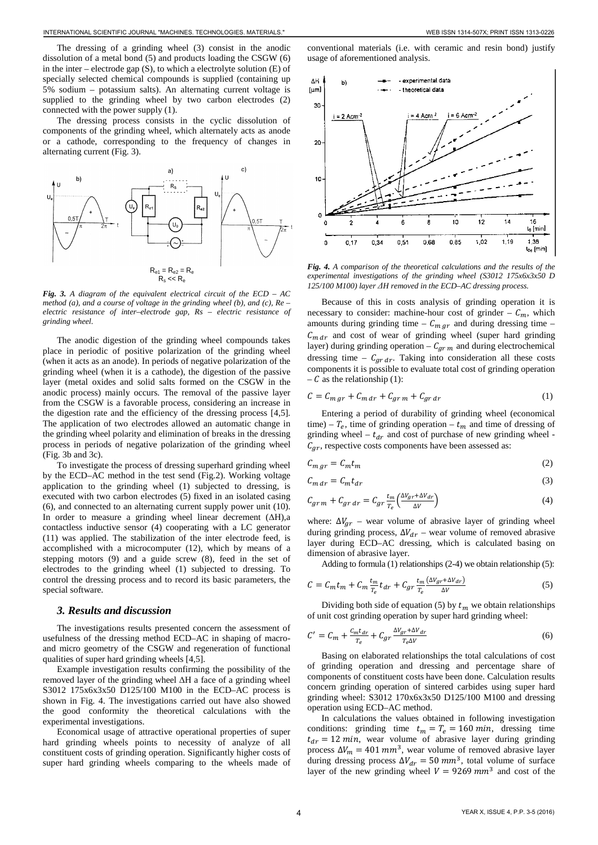The dressing of a grinding wheel (3) consist in the anodic dissolution of a metal bond (5) and products loading the CSGW (6) in the inter – electrode gap (S), to which a electrolyte solution (E) of specially selected chemical compounds is supplied (containing up 5% sodium – potassium salts). An alternating current voltage is supplied to the grinding wheel by two carbon electrodes (2) connected with the power supply (1).

The dressing process consists in the cyclic dissolution of components of the grinding wheel, which alternately acts as anode or a cathode, corresponding to the frequency of changes in alternating current (Fig. 3).



*Fig. 3. A diagram of the equivalent electrical circuit of the ECD – AC method (a), and a course of voltage in the grinding wheel (b), and (c), Re* electric resistance of inter-electrode gap, Rs - electric resistance of *grinding wheel.*

The anodic digestion of the grinding wheel compounds takes place in periodic of positive polarization of the grinding wheel (when it acts as an anode). In periods of negative polarization of the grinding wheel (when it is a cathode), the digestion of the passive layer (metal oxides and solid salts formed on the CSGW in the anodic process) mainly occurs. The removal of the passive layer from the CSGW is a favorable process, considering an increase in the digestion rate and the efficiency of the dressing process [4,5]. The application of two electrodes allowed an automatic change in the grinding wheel polarity and elimination of breaks in the dressing process in periods of negative polarization of the grinding wheel (Fig. 3b and 3c).

To investigate the process of dressing superhard grinding wheel by the ECD–AC method in the test send (Fig.2). Working voltage application to the grinding wheel (1) subjected to dressing, is executed with two carbon electrodes (5) fixed in an isolated casing (6), and connected to an alternating current supply power unit (10). In order to measure a grinding wheel linear decrement  $(\Delta H)$ ,a contactless inductive sensor (4) cooperating with a LC generator (11) was applied. The stabilization of the inter electrode feed, is accomplished with a microcomputer (12), which by means of a stepping motors (9) and a guide screw (8), feed in the set of electrodes to the grinding wheel (1) subjected to dressing. To control the dressing process and to record its basic parameters, the special software.

#### *3. Results and discussion*

The investigations results presented concern the assessment of usefulness of the dressing method ECD–AC in shaping of macroand micro geometry of the CSGW and regeneration of functional qualities of super hard grinding wheels [4,5].

Example investigation results confirming the possibility of the removed layer of the grinding wheel ΔH a face of a grinding wheel S3012 175x6x3x50 D125/100 M100 in the ECD–AC process is shown in Fig. 4. The investigations carried out have also showed the good conformity the theoretical calculations with the experimental investigations.

Economical usage of attractive operational properties of super hard grinding wheels points to necessity of analyze of all constituent costs of grinding operation. Significantly higher costs of super hard grinding wheels comparing to the wheels made of

conventional materials (i.e. with ceramic and resin bond) justify usage of aforementioned analysis.



*Fig. 4. A comparison of the theoretical calculations and the results of the experimental investigations of the grinding wheel (S3012 175x6x3x50 D 125/100 M100) layer ΔH removed in the ECD–AC dressing process.* 

Because of this in costs analysis of grinding operation it is necessary to consider: machine-hour cost of grinder –  $C_m$ , which amounts during grinding time –  $C_{m,qr}$  and during dressing time –  $C_{m,dr}$  and cost of wear of grinding wheel (super hard grinding layer) during grinding operation –  $C_{gr\,m}$  and during electrochemical dressing time –  $C_{gr dr}$ . Taking into consideration all these costs components it is possible to evaluate total cost of grinding operation –  $C$  as the relationship (1):

$$
C = C_{mgr} + C_{mdr} + C_{grm} + C_{grdr}
$$
 (1)

Entering a period of durability of grinding wheel (economical time) –  $T_e$ , time of grinding operation –  $t_m$  and time of dressing of grinding wheel –  $t_{dr}$  and cost of purchase of new grinding wheel - $C_{gr}$ , respective costs components have been assessed as:

$$
C_{m \, gr} = C_m t_m \tag{2}
$$

$$
C_{m dr} = C_m t_{dr} \tag{3}
$$

$$
C_{gr\,m} + C_{gr\,dr} = C_{gr} \frac{t_m}{T_e} \left( \frac{\Delta V_{gr} + \Delta V_{dr}}{\Delta V} \right) \tag{4}
$$

where:  $\Delta V_{gr}$  – wear volume of abrasive layer of grinding wheel during grinding process,  $\Delta V_{dr}$  – wear volume of removed abrasive layer during ECD–AC dressing, which is calculated basing on dimension of abrasive layer.

Adding to formula (1) relationships (2-4) we obtain relationship (5):

$$
C = C_m t_m + C_m \frac{t_m}{T_e} t_{dr} + C_{gr} \frac{t_m (\Delta V_{gr} + \Delta V_{dr})}{\Delta V}
$$
(5)

Dividing both side of equation (5) by  $t_m$  we obtain relationships of unit cost grinding operation by super hard grinding wheel:

$$
C' = C_m + \frac{c_{m}t_{dr}}{T_e} + C_{gr} \frac{\Delta V_{gr} + \Delta V_{dr}}{T_e \Delta V}
$$
(6)

Basing on elaborated relationships the total calculations of cost of grinding operation and dressing and percentage share of components of constituent costs have been done. Calculation results concern grinding operation of sintered carbides using super hard grinding wheel: S3012 170x6x3x50 D125/100 M100 and dressing operation using ECD–AC method.

In calculations the values obtained in following investigation conditions: grinding time  $t_m = T_e = 160 \text{ min}$ , dressing time  $t_{dr} = 12$  min, wear volume of abrasive layer during grinding process  $\Delta V_m = 401 \, \text{mm}^3$ , wear volume of removed abrasive layer during dressing process  $\Delta V_{dr} = 50$  mm<sup>3</sup>, total volume of surface layer of the new grinding wheel  $V = 9269$  mm<sup>3</sup> and cost of the